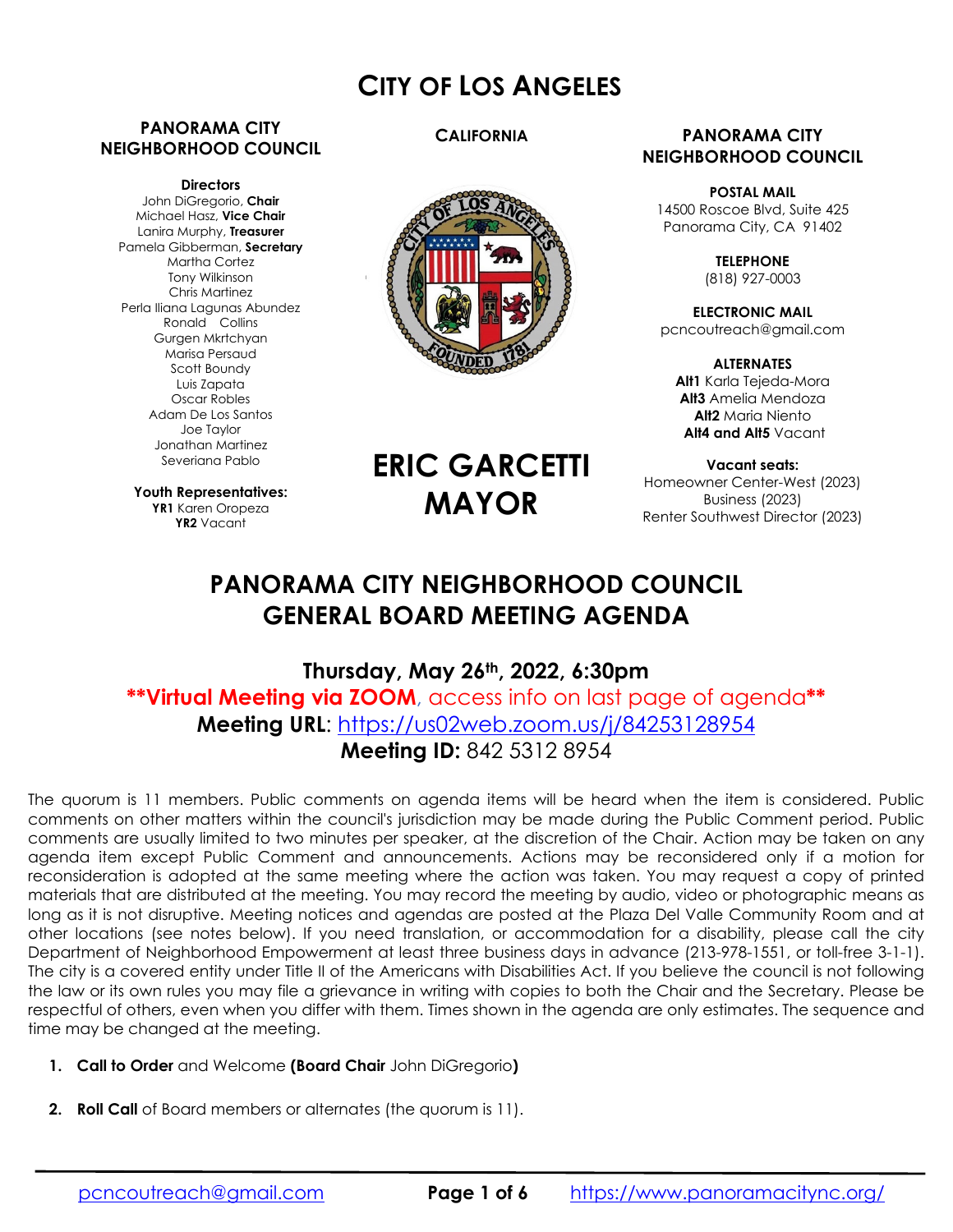# **CITY OF LOS ANGELES**

### **PANORAMA CITY NEIGHBORHOOD COUNCIL**

#### **Directors**

John DiGregorio, **Chair** Michael Hasz, **Vice Chair** Lanira Murphy, **Treasurer** Pamela Gibberman, **Secretary** Martha Cortez Tony Wilkinson Chris Martinez Perla Iliana Lagunas Abundez Ronald Collins Gurgen Mkrtchyan Marisa Persaud Scott Boundy Luis Zapata Oscar Robles Adam De Los Santos Joe Taylor Jonathan Martinez Severiana Pablo

**Youth Representatives: YR1** Karen Oropeza **YR2** Vacant

## **CALIFORNIA**



#### **PANORAMA CITY NEIGHBORHOOD COUNCIL**

**POSTAL MAIL** 14500 Roscoe Blvd, Suite 425 Panorama City, CA 91402

> **TELEPHONE** (818) 927-0003

**ELECTRONIC MAIL** pcncoutreach@gmail.com

**ALTERNATES Alt1** Karla Tejeda-Mora **Alt3** Amelia Mendoza **Alt2** Maria Niento  **Alt4 and Alt5** Vacant

**Vacant seats:**  Homeowner Center-West (2023) Business (2023) Renter Southwest Director (2023)

# **PANORAMA CITY NEIGHBORHOOD COUNCIL GENERAL BOARD MEETING AGENDA**

**ERIC GARCETTI**

**MAYOR**

**Thursday, May 26th, 2022, 6:30pm \*\*Virtual Meeting via ZOOM**, access info on last page of agenda**\*\* Meeting URL**: https://us02web.zoom.us/j/84253128954 **Meeting ID:** 842 5312 8954

The quorum is 11 members. Public comments on agenda items will be heard when the item is considered. Public comments on other matters within the council's jurisdiction may be made during the Public Comment period. Public comments are usually limited to two minutes per speaker, at the discretion of the Chair. Action may be taken on any agenda item except Public Comment and announcements. Actions may be reconsidered only if a motion for reconsideration is adopted at the same meeting where the action was taken. You may request a copy of printed materials that are distributed at the meeting. You may record the meeting by audio, video or photographic means as long as it is not disruptive. Meeting notices and agendas are posted at the Plaza Del Valle Community Room and at other locations (see notes below). If you need translation, or accommodation for a disability, please call the city Department of Neighborhood Empowerment at least three business days in advance (213-978-1551, or toll-free 3-1-1). The city is a covered entity under Title II of the Americans with Disabilities Act. If you believe the council is not following the law or its own rules you may file a grievance in writing with copies to both the Chair and the Secretary. Please be respectful of others, even when you differ with them. Times shown in the agenda are only estimates. The sequence and time may be changed at the meeting.

- **1. Call to Order** and Welcome **(Board Chair** John DiGregorio**)**
- **2. Roll Call** of Board members or alternates (the quorum is 11).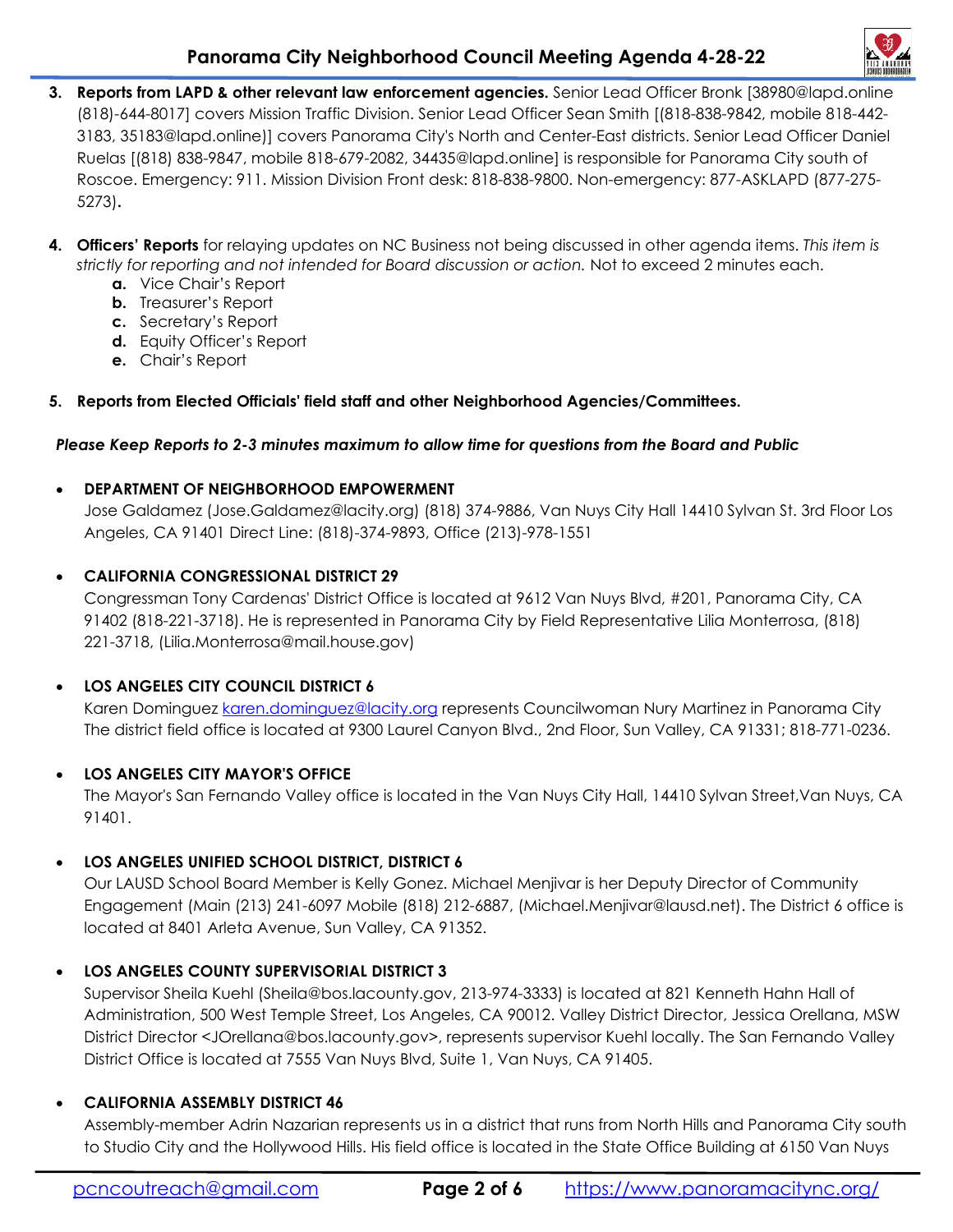

- **3. Reports from LAPD & other relevant law enforcement agencies.** Senior Lead Officer Bronk [38980@lapd.online (818)-644-8017] covers Mission Traffic Division. Senior Lead Officer Sean Smith [(818-838-9842, mobile 818-442- 3183, 35183@lapd.online)] covers Panorama City's North and Center-East districts. Senior Lead Officer Daniel Ruelas [(818) 838-9847, mobile 818-679-2082, 34435@lapd.online] is responsible for Panorama City south of Roscoe. Emergency: 911. Mission Division Front desk: 818-838-9800. Non-emergency: 877-ASKLAPD (877-275- 5273)**.**
- **4. Officers' Reports** for relaying updates on NC Business not being discussed in other agenda items. *This item is strictly for reporting and not intended for Board discussion or action.* Not to exceed 2 minutes each.
	- **a.** Vice Chair's Report
	- **b.** Treasurer's Report
	- **c.** Secretary's Report
	- **d.** Equity Officer's Report
	- **e.** Chair's Report

# **5. Reports from Elected Officials' field staff and other Neighborhood Agencies/Committees.**

#### *Please Keep Reports to 2-3 minutes maximum to allow time for questions from the Board and Public*

## **DEPARTMENT OF NEIGHBORHOOD EMPOWERMENT**

Jose Galdamez (Jose.Galdamez@lacity.org) (818) 374-9886, Van Nuys City Hall 14410 Sylvan St. 3rd Floor Los Angeles, CA 91401 Direct Line: (818)-374-9893, Office (213)-978-1551

# **CALIFORNIA CONGRESSIONAL DISTRICT 29**

Congressman Tony Cardenas' District Office is located at 9612 Van Nuys Blvd, #201, Panorama City, CA 91402 (818-221-3718). He is represented in Panorama City by Field Representative Lilia Monterrosa, (818) 221-3718, (Lilia.Monterrosa@mail.house.gov)

# **LOS ANGELES CITY COUNCIL DISTRICT 6**

Karen Dominguez karen.dominguez@lacity.org represents Councilwoman Nury Martinez in Panorama City The district field office is located at 9300 Laurel Canyon Blvd., 2nd Floor, Sun Valley, CA 91331; 818-771-0236.

# **LOS ANGELES CITY MAYOR'S OFFICE**

The Mayor's San Fernando Valley office is located in the Van Nuys City Hall, 14410 Sylvan Street,Van Nuys, CA 91401.

# **LOS ANGELES UNIFIED SCHOOL DISTRICT, DISTRICT 6**

Our LAUSD School Board Member is Kelly Gonez. Michael Menjivar is her Deputy Director of Community Engagement (Main (213) 241-6097 Mobile (818) 212-6887, (Michael.Menjivar@lausd.net). The District 6 office is located at 8401 Arleta Avenue, Sun Valley, CA 91352.

# **LOS ANGELES COUNTY SUPERVISORIAL DISTRICT 3**

Supervisor Sheila Kuehl (Sheila@bos.lacounty.gov, 213-974-3333) is located at 821 Kenneth Hahn Hall of Administration, 500 West Temple Street, Los Angeles, CA 90012. Valley District Director, Jessica Orellana, MSW District Director <JOrellana@bos.lacounty.gov>, represents supervisor Kuehl locally. The San Fernando Valley District Office is located at 7555 Van Nuys Blvd, Suite 1, Van Nuys, CA 91405.

#### **CALIFORNIA ASSEMBLY DISTRICT 46**

Assembly-member Adrin Nazarian represents us in a district that runs from North Hills and Panorama City south to Studio City and the Hollywood Hills. His field office is located in the State Office Building at 6150 Van Nuys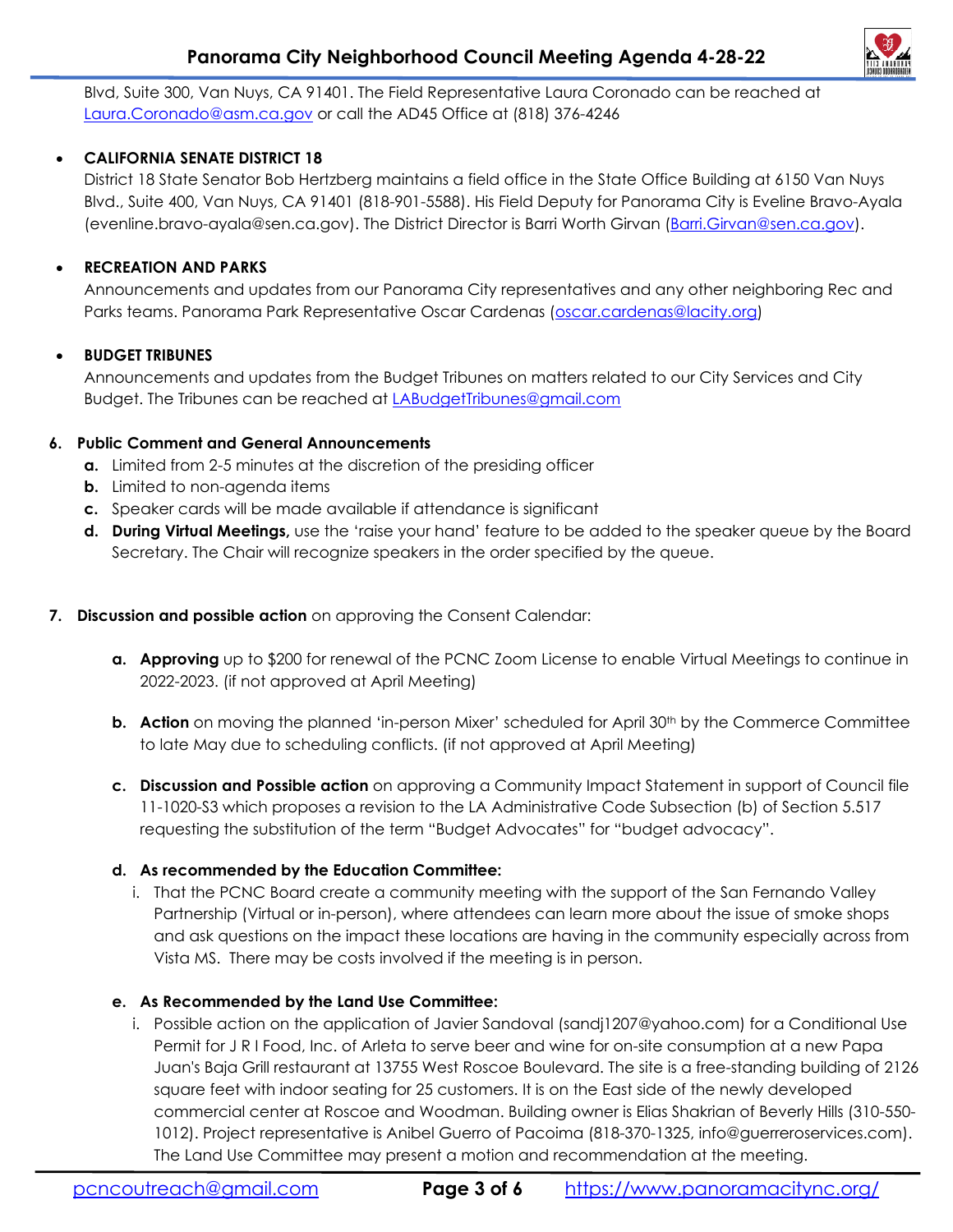# **Panorama City Neighborhood Council Meeting Agenda 4-28-22**



Blvd, Suite 300, Van Nuys, CA 91401. The Field Representative Laura Coronado can be reached at Laura.Coronado@asm.ca.gov or call the AD45 Office at (818) 376-4246

## **CALIFORNIA SENATE DISTRICT 18**

District 18 State Senator Bob Hertzberg maintains a field office in the State Office Building at 6150 Van Nuys Blvd., Suite 400, Van Nuys, CA 91401 (818-901-5588). His Field Deputy for Panorama City is Eveline Bravo-Ayala (evenline.bravo-ayala@sen.ca.gov). The District Director is Barri Worth Girvan (Barri.Girvan@sen.ca.gov).

#### **RECREATION AND PARKS**

Announcements and updates from our Panorama City representatives and any other neighboring Rec and Parks teams. Panorama Park Representative Oscar Cardenas (oscar.cardenas@lacity.org)

## **BUDGET TRIBUNES**

Announcements and updates from the Budget Tribunes on matters related to our City Services and City Budget. The Tribunes can be reached at LABudgetTribunes@gmail.com

#### **6. Public Comment and General Announcements**

- **a.** Limited from 2-5 minutes at the discretion of the presiding officer
- **b.** Limited to non-agenda items
- **c.** Speaker cards will be made available if attendance is significant
- **d. During Virtual Meetings,** use the 'raise your hand' feature to be added to the speaker queue by the Board Secretary. The Chair will recognize speakers in the order specified by the queue.

## **7. Discussion and possible action** on approving the Consent Calendar:

- **a. Approving** up to \$200 for renewal of the PCNC Zoom License to enable Virtual Meetings to continue in 2022-2023. (if not approved at April Meeting)
- **b. Action** on moving the planned 'in-person Mixer' scheduled for April 30<sup>th</sup> by the Commerce Committee to late May due to scheduling conflicts. (if not approved at April Meeting)
- **c. Discussion and Possible action** on approving a Community Impact Statement in support of Council file 11-1020-S3 which proposes a revision to the LA Administrative Code Subsection (b) of Section 5.517 requesting the substitution of the term "Budget Advocates" for "budget advocacy".

#### **d. As recommended by the Education Committee:**

i. That the PCNC Board create a community meeting with the support of the San Fernando Valley Partnership (Virtual or in-person), where attendees can learn more about the issue of smoke shops and ask questions on the impact these locations are having in the community especially across from Vista MS. There may be costs involved if the meeting is in person.

#### **e. As Recommended by the Land Use Committee:**

i. Possible action on the application of Javier Sandoval (sandj1207@yahoo.com) for a Conditional Use Permit for J R I Food, Inc. of Arleta to serve beer and wine for on-site consumption at a new Papa Juan's Baja Grill restaurant at 13755 West Roscoe Boulevard. The site is a free-standing building of 2126 square feet with indoor seating for 25 customers. It is on the East side of the newly developed commercial center at Roscoe and Woodman. Building owner is Elias Shakrian of Beverly Hills (310-550- 1012). Project representative is Anibel Guerro of Pacoima (818-370-1325, info@guerreroservices.com). The Land Use Committee may present a motion and recommendation at the meeting.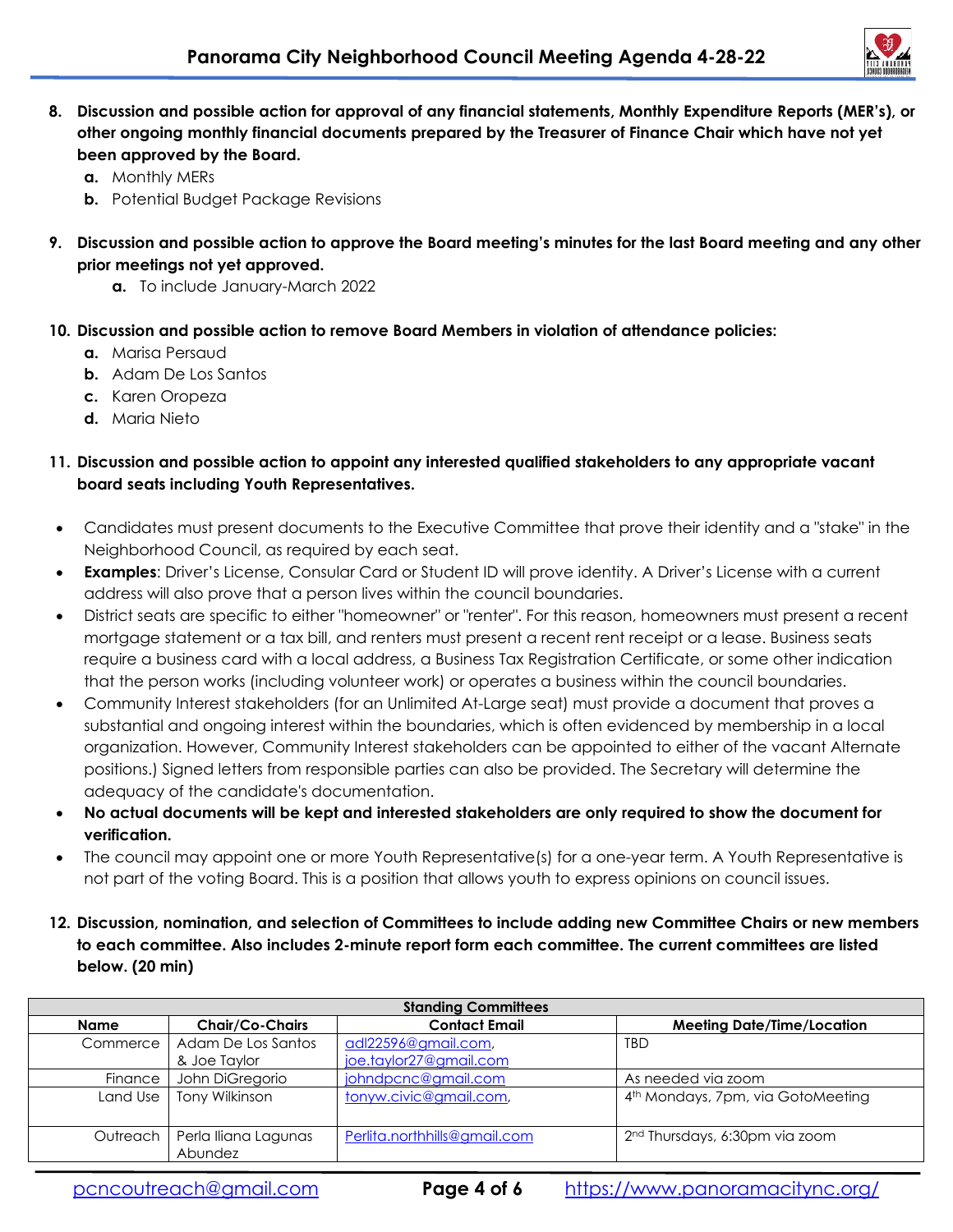

- **8. Discussion and possible action for approval of any financial statements, Monthly Expenditure Reports (MER's), or other ongoing monthly financial documents prepared by the Treasurer of Finance Chair which have not yet been approved by the Board.** 
	- **a.** Monthly MERs
	- **b.** Potential Budget Package Revisions
- **9. Discussion and possible action to approve the Board meeting's minutes for the last Board meeting and any other prior meetings not yet approved.** 
	- **a.** To include January-March 2022
- **10. Discussion and possible action to remove Board Members in violation of attendance policies:** 
	- **a.** Marisa Persaud
	- **b.** Adam De Los Santos
	- **c.** Karen Oropeza
	- **d.** Maria Nieto

## **11. Discussion and possible action to appoint any interested qualified stakeholders to any appropriate vacant board seats including Youth Representatives.**

- Candidates must present documents to the Executive Committee that prove their identity and a "stake" in the Neighborhood Council, as required by each seat.
- **Examples**: Driver's License, Consular Card or Student ID will prove identity. A Driver's License with a current address will also prove that a person lives within the council boundaries.
- District seats are specific to either "homeowner" or "renter". For this reason, homeowners must present a recent mortgage statement or a tax bill, and renters must present a recent rent receipt or a lease. Business seats require a business card with a local address, a Business Tax Registration Certificate, or some other indication that the person works (including volunteer work) or operates a business within the council boundaries.
- Community Interest stakeholders (for an Unlimited At-Large seat) must provide a document that proves a substantial and ongoing interest within the boundaries, which is often evidenced by membership in a local organization. However, Community Interest stakeholders can be appointed to either of the vacant Alternate positions.) Signed letters from responsible parties can also be provided. The Secretary will determine the adequacy of the candidate's documentation.
- **No actual documents will be kept and interested stakeholders are only required to show the document for verification.**
- The council may appoint one or more Youth Representative(s) for a one-year term. A Youth Representative is not part of the voting Board. This is a position that allows youth to express opinions on council issues.
- **12. Discussion, nomination, and selection of Committees to include adding new Committee Chairs or new members to each committee. Also includes 2-minute report form each committee. The current committees are listed below. (20 min)**

| <b>Standing Committees</b> |                                            |                              |                                               |  |
|----------------------------|--------------------------------------------|------------------------------|-----------------------------------------------|--|
| Name                       | <b>Chair/Co-Chairs</b>                     | <b>Contact Email</b>         | <b>Meeting Date/Time/Location</b>             |  |
| Commerce                   | Adam De Los Santos                         | adl22596@gmail.com,          | <b>TBD</b>                                    |  |
|                            | & Joe Taylor                               | joe.taylor27@gmail.com       |                                               |  |
| Finance                    | John DiGregorio                            | johndpcnc@gmail.com          | As needed via zoom                            |  |
| Land Use                   | Tony Wilkinson                             | tonyw.civic@gmail.com,       | 4 <sup>th</sup> Mondays, 7pm, via GotoMeeting |  |
|                            | Outreach   Perla Iliana Lagunas<br>Abundez | Perlita.northhills@gmail.com | 2 <sup>nd</sup> Thursdays, 6:30pm via zoom    |  |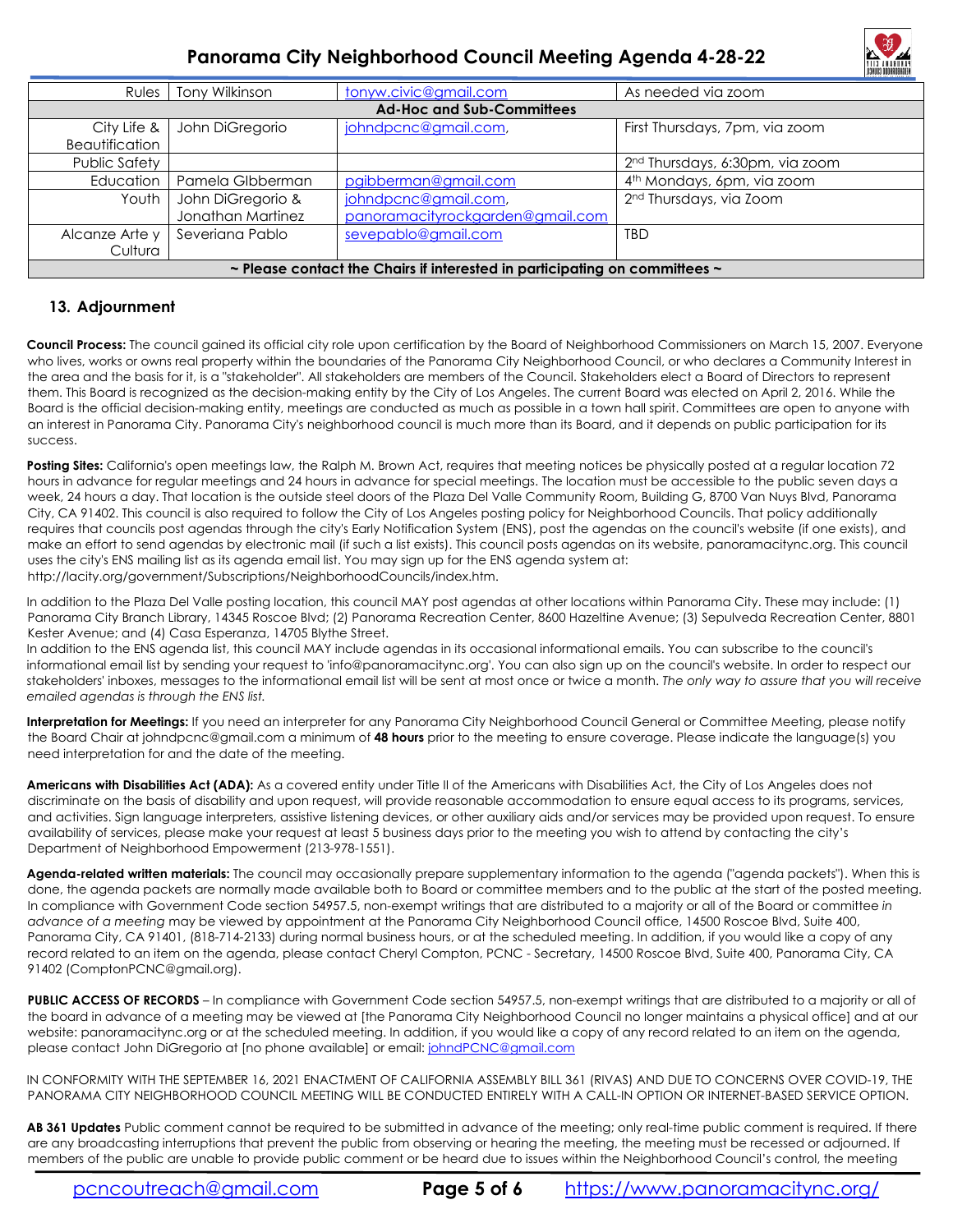

# **Panorama City Neighborhood Council Meeting Agenda 4-28-22**

| <b>Rules</b>                                                                         | Tony Wilkinson    | tonyw.civic@gmail.com            | As needed via zoom                          |  |  |
|--------------------------------------------------------------------------------------|-------------------|----------------------------------|---------------------------------------------|--|--|
| <b>Ad-Hoc and Sub-Committees</b>                                                     |                   |                                  |                                             |  |  |
| City Life $\&$                                                                       | John DiGregorio   | johndpcnc@gmail.com,             | First Thursdays, 7pm, via zoom              |  |  |
| Beautification                                                                       |                   |                                  |                                             |  |  |
| Public Safety                                                                        |                   |                                  | 2 <sup>nd</sup> Thursdays, 6:30pm, via zoom |  |  |
| Education                                                                            | Pamela Glbberman  | pgibberman@gmail.com             | 4 <sup>th</sup> Mondays, 6pm, via zoom      |  |  |
| Youth I                                                                              | John DiGregorio & | johndpcnc@gmail.com,             | 2 <sup>nd</sup> Thursdays, via Zoom         |  |  |
|                                                                                      | Jonathan Martinez | panoramacityrockgarden@gmail.com |                                             |  |  |
| Alcanze Arte y                                                                       | Severiana Pablo   | sevepablo@gmail.com              | <b>TBD</b>                                  |  |  |
| Cultura                                                                              |                   |                                  |                                             |  |  |
| $\sim$ Please contact the Chairs if interested in participating on committees $\sim$ |                   |                                  |                                             |  |  |

#### **13. Adjournment**

**Council Process:** The council gained its official city role upon certification by the Board of Neighborhood Commissioners on March 15, 2007. Everyone who lives, works or owns real property within the boundaries of the Panorama City Neighborhood Council, or who declares a Community Interest in the area and the basis for it, is a "stakeholder". All stakeholders are members of the Council. Stakeholders elect a Board of Directors to represent them. This Board is recognized as the decision-making entity by the City of Los Angeles. The current Board was elected on April 2, 2016. While the Board is the official decision-making entity, meetings are conducted as much as possible in a town hall spirit. Committees are open to anyone with an interest in Panorama City. Panorama City's neighborhood council is much more than its Board, and it depends on public participation for its success.

Posting Sites: California's open meetings law, the Ralph M. Brown Act, requires that meeting notices be physically posted at a regular location 72 hours in advance for regular meetings and 24 hours in advance for special meetings. The location must be accessible to the public seven days a week, 24 hours a day. That location is the outside steel doors of the Plaza Del Valle Community Room, Building G, 8700 Van Nuys Blvd, Panorama City, CA 91402. This council is also required to follow the City of Los Angeles posting policy for Neighborhood Councils. That policy additionally requires that councils post agendas through the city's Early Notification System (ENS), post the agendas on the council's website (if one exists), and make an effort to send agendas by electronic mail (if such a list exists). This council posts agendas on its website, panoramacitync.org. This council uses the city's ENS mailing list as its agenda email list. You may sign up for the ENS agenda system at: http://lacity.org/government/Subscriptions/NeighborhoodCouncils/index.htm.

In addition to the Plaza Del Valle posting location, this council MAY post agendas at other locations within Panorama City. These may include: (1) Panorama City Branch Library, 14345 Roscoe Blvd; (2) Panorama Recreation Center, 8600 Hazeltine Avenue; (3) Sepulveda Recreation Center, 8801 Kester Avenue; and (4) Casa Esperanza, 14705 Blythe Street.

In addition to the ENS agenda list, this council MAY include agendas in its occasional informational emails. You can subscribe to the council's informational email list by sending your request to 'info@panoramacitync.org'. You can also sign up on the council's website. In order to respect our stakeholders' inboxes, messages to the informational email list will be sent at most once or twice a month. *The only way to assure that you will receive emailed agendas is through the ENS list.* 

**Interpretation for Meetings:** If you need an interpreter for any Panorama City Neighborhood Council General or Committee Meeting, please notify the Board Chair at johndpcnc@gmail.com a minimum of **48 hours** prior to the meeting to ensure coverage. Please indicate the language(s) you need interpretation for and the date of the meeting.

Americans with Disabilities Act (ADA): As a covered entity under Title II of the Americans with Disabilities Act, the City of Los Angeles does not discriminate on the basis of disability and upon request, will provide reasonable accommodation to ensure equal access to its programs, services, and activities. Sign language interpreters, assistive listening devices, or other auxiliary aids and/or services may be provided upon request. To ensure availability of services, please make your request at least 5 business days prior to the meeting you wish to attend by contacting the city's Department of Neighborhood Empowerment (213-978-1551).

**Agenda-related written materials:** The council may occasionally prepare supplementary information to the agenda ("agenda packets"). When this is done, the agenda packets are normally made available both to Board or committee members and to the public at the start of the posted meeting. In compliance with Government Code section 54957.5, non-exempt writings that are distributed to a majority or all of the Board or committee *in advance of a meeting* may be viewed by appointment at the Panorama City Neighborhood Council office, 14500 Roscoe Blvd, Suite 400, Panorama City, CA 91401, (818-714-2133) during normal business hours, or at the scheduled meeting. In addition, if you would like a copy of any record related to an item on the agenda, please contact Cheryl Compton, PCNC - Secretary, 14500 Roscoe Blvd, Suite 400, Panorama City, CA 91402 (ComptonPCNC@gmail.org).

PUBLIC ACCESS OF RECORDS – In compliance with Government Code section 54957.5, non-exempt writings that are distributed to a majority or all of the board in advance of a meeting may be viewed at [the Panorama City Neighborhood Council no longer maintains a physical office] and at our website: panoramacitync.org or at the scheduled meeting. In addition, if you would like a copy of any record related to an item on the agenda, please contact John DiGregorio at [no phone available] or email: johndPCNC@gmail.com

IN CONFORMITY WITH THE SEPTEMBER 16, 2021 ENACTMENT OF CALIFORNIA ASSEMBLY BILL 361 (RIVAS) AND DUE TO CONCERNS OVER COVID-19, THE PANORAMA CITY NEIGHBORHOOD COUNCIL MEETING WILL BE CONDUCTED ENTIRELY WITH A CALL-IN OPTION OR INTERNET-BASED SERVICE OPTION.

**AB 361 Updates** Public comment cannot be required to be submitted in advance of the meeting; only real-time public comment is required. If there are any broadcasting interruptions that prevent the public from observing or hearing the meeting, the meeting must be recessed or adjourned. If members of the public are unable to provide public comment or be heard due to issues within the Neighborhood Council's control, the meeting